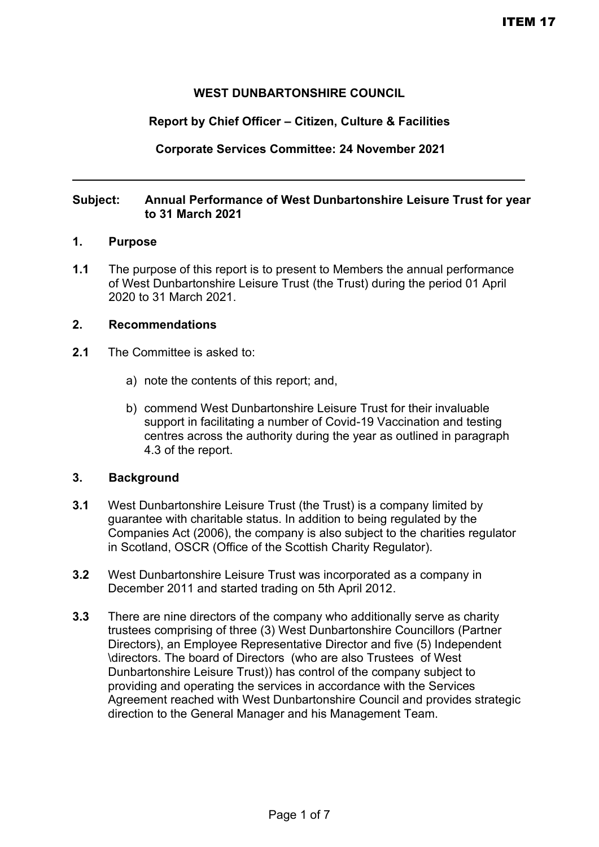## **WEST DUNBARTONSHIRE COUNCIL**

### **Report by Chief Officer – Citizen, Culture & Facilities**

## **Corporate Services Committee: 24 November 2021**

### **Subject: Annual Performance of West Dunbartonshire Leisure Trust for year to 31 March 2021**

#### **1. Purpose**

**1.1** The purpose of this report is to present to Members the annual performance of West Dunbartonshire Leisure Trust (the Trust) during the period 01 April 2020 to 31 March 2021.

### **2. Recommendations**

- **2.1** The Committee is asked to:
	- a) note the contents of this report; and,
	- b) commend West Dunbartonshire Leisure Trust for their invaluable support in facilitating a number of Covid-19 Vaccination and testing centres across the authority during the year as outlined in paragraph 4.3 of the report.

### **3. Background**

- **3.1** West Dunbartonshire Leisure Trust (the Trust) is a company limited by guarantee with charitable status. In addition to being regulated by the Companies Act (2006), the company is also subject to the charities regulator in Scotland, OSCR (Office of the Scottish Charity Regulator).
- **3.2** West Dunbartonshire Leisure Trust was incorporated as a company in December 2011 and started trading on 5th April 2012.
- **3.3** There are nine directors of the company who additionally serve as charity trustees comprising of three (3) West Dunbartonshire Councillors (Partner Directors), an Employee Representative Director and five (5) Independent \directors. The board of Directors (who are also Trustees of West Dunbartonshire Leisure Trust)) has control of the company subject to providing and operating the services in accordance with the Services Agreement reached with West Dunbartonshire Council and provides strategic direction to the General Manager and his Management Team.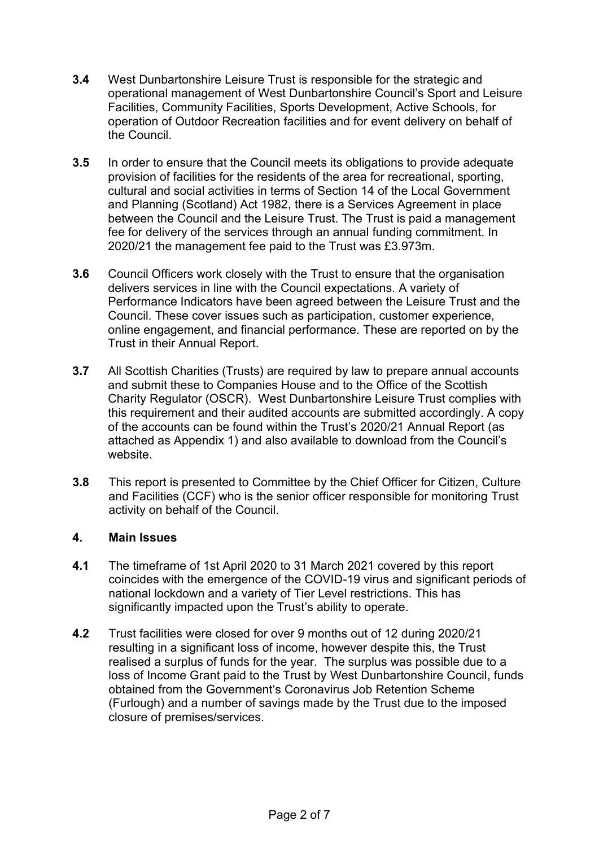- **3.4** West Dunbartonshire Leisure Trust is responsible for the strategic and operational management of West Dunbartonshire Council's Sport and Leisure Facilities, Community Facilities, Sports Development, Active Schools, for operation of Outdoor Recreation facilities and for event delivery on behalf of the Council.
- **3.5** In order to ensure that the Council meets its obligations to provide adequate provision of facilities for the residents of the area for recreational, sporting, cultural and social activities in terms of Section 14 of the Local Government and Planning (Scotland) Act 1982, there is a Services Agreement in place between the Council and the Leisure Trust. The Trust is paid a management fee for delivery of the services through an annual funding commitment. In 2020/21 the management fee paid to the Trust was £3.973m.
- **3.6** Council Officers work closely with the Trust to ensure that the organisation delivers services in line with the Council expectations. A variety of Performance Indicators have been agreed between the Leisure Trust and the Council. These cover issues such as participation, customer experience, online engagement, and financial performance. These are reported on by the Trust in their Annual Report.
- **3.7** All Scottish Charities (Trusts) are required by law to prepare annual accounts and submit these to Companies House and to the Office of the Scottish Charity Regulator (OSCR). West Dunbartonshire Leisure Trust complies with this requirement and their audited accounts are submitted accordingly. A copy of the accounts can be found within the Trust's 2020/21 Annual Report (as attached as Appendix 1) and also available to download from the Council's website.
- **3.8** This report is presented to Committee by the Chief Officer for Citizen, Culture and Facilities (CCF) who is the senior officer responsible for monitoring Trust activity on behalf of the Council.

# **4. Main Issues**

- **4.1** The timeframe of 1st April 2020 to 31 March 2021 covered by this report coincides with the emergence of the COVID-19 virus and significant periods of national lockdown and a variety of Tier Level restrictions. This has significantly impacted upon the Trust's ability to operate.
- **4.2** Trust facilities were closed for over 9 months out of 12 during 2020/21 resulting in a significant loss of income, however despite this, the Trust realised a surplus of funds for the year. The surplus was possible due to a loss of Income Grant paid to the Trust by West Dunbartonshire Council, funds obtained from the Government's Coronavirus Job Retention Scheme (Furlough) and a number of savings made by the Trust due to the imposed closure of premises/services.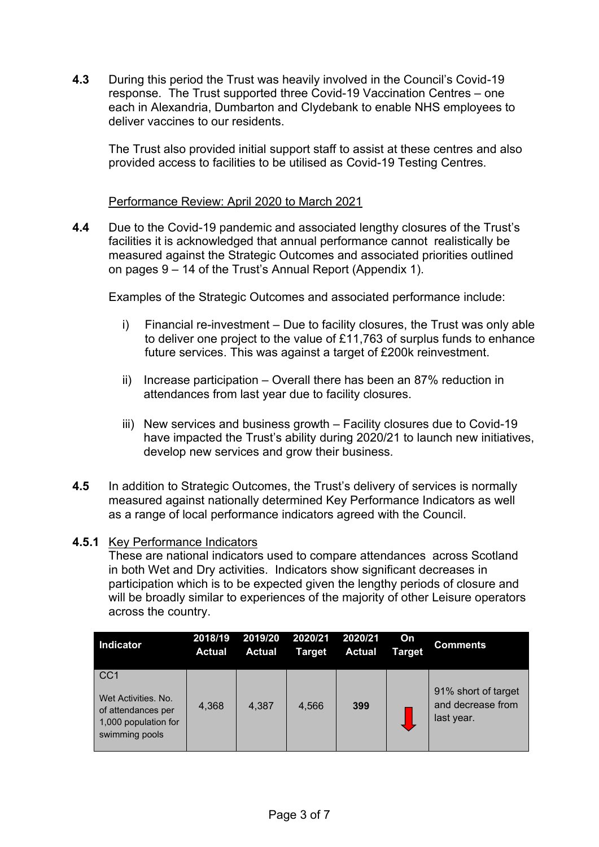**4.3** During this period the Trust was heavily involved in the Council's Covid-19 response. The Trust supported three Covid-19 Vaccination Centres – one each in Alexandria, Dumbarton and Clydebank to enable NHS employees to deliver vaccines to our residents.

The Trust also provided initial support staff to assist at these centres and also provided access to facilities to be utilised as Covid-19 Testing Centres.

### Performance Review: April 2020 to March 2021

**4.4** Due to the Covid-19 pandemic and associated lengthy closures of the Trust's facilities it is acknowledged that annual performance cannot realistically be measured against the Strategic Outcomes and associated priorities outlined on pages 9 – 14 of the Trust's Annual Report (Appendix 1).

Examples of the Strategic Outcomes and associated performance include:

- i) Financial re-investment Due to facility closures, the Trust was only able to deliver one project to the value of £11,763 of surplus funds to enhance future services. This was against a target of £200k reinvestment.
- ii) Increase participation Overall there has been an 87% reduction in attendances from last year due to facility closures.
- iii) New services and business growth Facility closures due to Covid-19 have impacted the Trust's ability during 2020/21 to launch new initiatives, develop new services and grow their business.
- **4.5** In addition to Strategic Outcomes, the Trust's delivery of services is normally measured against nationally determined Key Performance Indicators as well as a range of local performance indicators agreed with the Council.

### **4.5.1** Key Performance Indicators

These are national indicators used to compare attendances across Scotland in both Wet and Dry activities. Indicators show significant decreases in participation which is to be expected given the lengthy periods of closure and will be broadly similar to experiences of the majority of other Leisure operators across the country.

| <b>Indicator</b>                                                                                       | 2018/19<br><b>Actual</b> | 2019/20<br><b>Actual</b> | 2020/21<br><b>Target</b> | 2020/21<br><b>Actual</b> | On<br><b>Target</b> | <b>Comments</b>                                        |
|--------------------------------------------------------------------------------------------------------|--------------------------|--------------------------|--------------------------|--------------------------|---------------------|--------------------------------------------------------|
| CC <sub>1</sub><br>Wet Activities, No.<br>of attendances per<br>1,000 population for<br>swimming pools | 4,368                    | 4,387                    | 4,566                    | 399                      |                     | 91% short of target<br>and decrease from<br>last year. |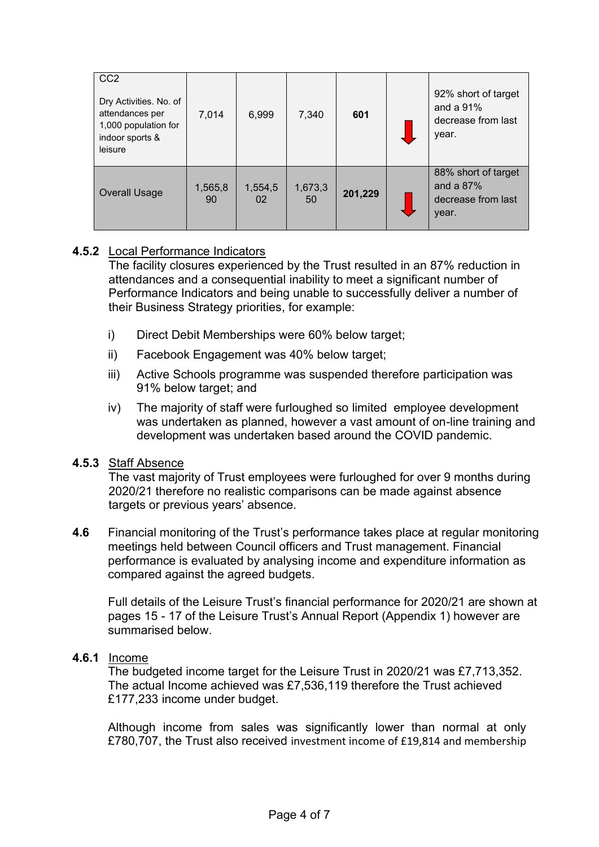| CC <sub>2</sub><br>Dry Activities. No. of<br>attendances per<br>1,000 population for<br>indoor sports &<br>leisure | 7,014         | 6,999         | 7,340         | 601     | 92% short of target<br>and a $91%$<br>decrease from last<br>year. |
|--------------------------------------------------------------------------------------------------------------------|---------------|---------------|---------------|---------|-------------------------------------------------------------------|
| <b>Overall Usage</b>                                                                                               | 1,565,8<br>90 | 1,554,5<br>02 | 1,673,3<br>50 | 201,229 | 88% short of target<br>and a $87%$<br>decrease from last<br>year. |

# **4.5.2** Local Performance Indicators

The facility closures experienced by the Trust resulted in an 87% reduction in attendances and a consequential inability to meet a significant number of Performance Indicators and being unable to successfully deliver a number of their Business Strategy priorities, for example:

- i) Direct Debit Memberships were 60% below target;
- ii) Facebook Engagement was 40% below target;
- iii) Active Schools programme was suspended therefore participation was 91% below target; and
- iv) The majority of staff were furloughed so limited employee development was undertaken as planned, however a vast amount of on-line training and development was undertaken based around the COVID pandemic.

### **4.5.3** Staff Absence

The vast majority of Trust employees were furloughed for over 9 months during 2020/21 therefore no realistic comparisons can be made against absence targets or previous years' absence.

**4.6** Financial monitoring of the Trust's performance takes place at regular monitoring meetings held between Council officers and Trust management. Financial performance is evaluated by analysing income and expenditure information as compared against the agreed budgets.

Full details of the Leisure Trust's financial performance for 2020/21 are shown at pages 15 - 17 of the Leisure Trust's Annual Report (Appendix 1) however are summarised below.

# **4.6.1** Income

The budgeted income target for the Leisure Trust in 2020/21 was £7,713,352. The actual Income achieved was £7,536,119 therefore the Trust achieved £177,233 income under budget.

Although income from sales was significantly lower than normal at only £780,707, the Trust also received investment income of £19,814 and membership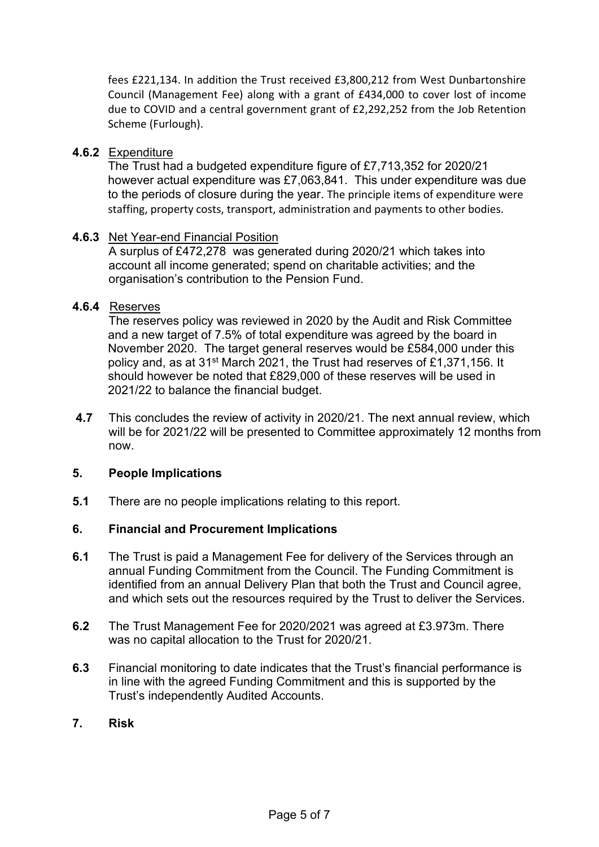fees £221,134. In addition the Trust received £3,800,212 from West Dunbartonshire Council (Management Fee) along with a grant of £434,000 to cover lost of income due to COVID and a central government grant of £2,292,252 from the Job Retention Scheme (Furlough).

### **4.6.2** Expenditure

The Trust had a budgeted expenditure figure of £7,713,352 for 2020/21 however actual expenditure was £7,063,841. This under expenditure was due to the periods of closure during the year. The principle items of expenditure were staffing, property costs, transport, administration and payments to other bodies.

#### **4.6.3** Net Year-end Financial Position

A surplus of £472,278 was generated during 2020/21 which takes into account all income generated; spend on charitable activities; and the organisation's contribution to the Pension Fund.

## **4.6.4** Reserves

The reserves policy was reviewed in 2020 by the Audit and Risk Committee and a new target of 7.5% of total expenditure was agreed by the board in November 2020. The target general reserves would be £584,000 under this policy and, as at 31<sup>st</sup> March 2021, the Trust had reserves of £1,371,156. It should however be noted that £829,000 of these reserves will be used in 2021/22 to balance the financial budget.

**4.7** This concludes the review of activity in 2020/21. The next annual review, which will be for 2021/22 will be presented to Committee approximately 12 months from now.

### **5. People Implications**

**5.1** There are no people implications relating to this report.

### **6. Financial and Procurement Implications**

- **6.1** The Trust is paid a Management Fee for delivery of the Services through an annual Funding Commitment from the Council. The Funding Commitment is identified from an annual Delivery Plan that both the Trust and Council agree, and which sets out the resources required by the Trust to deliver the Services.
- **6.2** The Trust Management Fee for 2020/2021 was agreed at £3.973m. There was no capital allocation to the Trust for 2020/21.
- **6.3** Financial monitoring to date indicates that the Trust's financial performance is in line with the agreed Funding Commitment and this is supported by the Trust's independently Audited Accounts.
- **7. Risk**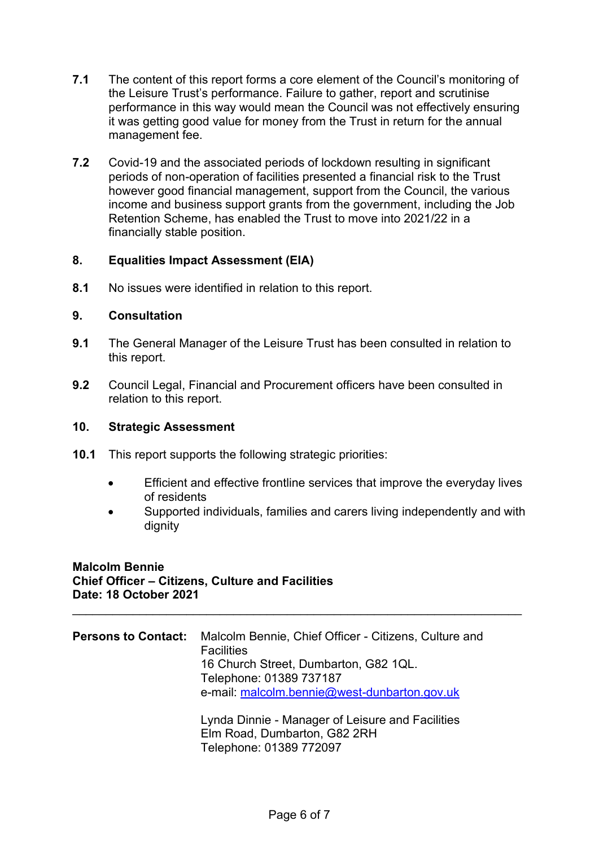- **7.1** The content of this report forms a core element of the Council's monitoring of the Leisure Trust's performance. Failure to gather, report and scrutinise performance in this way would mean the Council was not effectively ensuring it was getting good value for money from the Trust in return for the annual management fee.
- **7.2** Covid-19 and the associated periods of lockdown resulting in significant periods of non-operation of facilities presented a financial risk to the Trust however good financial management, support from the Council, the various income and business support grants from the government, including the Job Retention Scheme, has enabled the Trust to move into 2021/22 in a financially stable position.

## **8. Equalities Impact Assessment (EIA)**

**8.1** No issues were identified in relation to this report.

## **9. Consultation**

- **9.1** The General Manager of the Leisure Trust has been consulted in relation to this report.
- **9.2** Council Legal, Financial and Procurement officers have been consulted in relation to this report.

### **10. Strategic Assessment**

- **10.1** This report supports the following strategic priorities:
	- Efficient and effective frontline services that improve the everyday lives of residents
	- Supported individuals, families and carers living independently and with dianity

#### **Malcolm Bennie Chief Officer – Citizens, Culture and Facilities Date: 18 October 2021**

| <b>Persons to Contact:</b> | Malcolm Bennie, Chief Officer - Citizens, Culture and<br><b>Facilities</b><br>16 Church Street, Dumbarton, G82 1QL.<br>Telephone: 01389 737187<br>e-mail: malcolm.bennie@west-dunbarton.gov.uk |
|----------------------------|------------------------------------------------------------------------------------------------------------------------------------------------------------------------------------------------|
|                            | Lynda Dinnie - Manager of Leisure and Facilities<br>Elm Road, Dumbarton, G82 2RH                                                                                                               |

\_\_\_\_\_\_\_\_\_\_\_\_\_\_\_\_\_\_\_\_\_\_\_\_\_\_\_\_\_\_\_\_\_\_\_\_\_\_\_\_\_\_\_\_\_\_\_\_\_\_\_\_\_\_\_\_\_\_\_\_\_\_\_\_\_\_\_

Telephone: 01389 772097